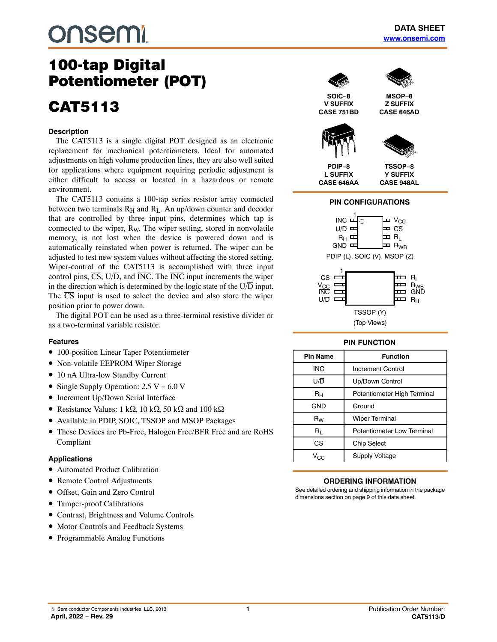# **onsem!**

## 100-tap Digital<br>Potentiometer (POT) Potentiometer (POT)

# CAT5113

#### **Description**

The CAT5113 is a single digital POT designed as an electronic replacement for mechanical potentiometers. Ideal for automated adjustments on high volume production lines, they are also well suited for applications where equipment requiring periodic adjustment is either difficult to access or located in a hazardous or remote environment.

The CAT5113 contains a 100-tap series resistor array connected between two terminals  $R_H$  and  $R_L$ . An up/down counter and decoder that are controlled by three input pins, determines which tap is connected to the wiper, RW. The wiper setting, stored in nonvolatile memory, is not lost when the device is powered down and is automatically reinstated when power is returned. The wiper can be adjusted to test new system values without affecting the stored setting. Wiper-control of the CAT5113 is accomplished with three input control pins,  $\overline{CS}$ ,  $U/\overline{D}$ , and  $\overline{INC}$ . The  $\overline{INC}$  input increments the wiper in the direction which is determined by the logic state of the  $U/\overline{D}$  input. The  $\overline{CS}$  input is used to select the device and also store the wiper position prior to power down.

The digital POT can be used as a three-terminal resistive divider or as a two-terminal variable resistor.

#### **Features**

- 100-position Linear Taper Potentiometer
- Non-volatile EEPROM Wiper Storage
- 10 nA Ultra-low Standby Current
- Single Supply Operation: 2.5 V − 6.0 V
- Increment Up/Down Serial Interface
- Resistance Values:  $1 \text{ k}\Omega$ ,  $10 \text{ k}\Omega$ ,  $50 \text{ k}\Omega$  and  $100 \text{ k}\Omega$
- Available in PDIP, SOIC, TSSOP and MSOP Packages
- These Devices are Pb-Free, Halogen Free/BFR Free and are RoHS Compliant

#### **Applications**

- Automated Product Calibration
- Remote Control Adjustments
- Offset, Gain and Zero Control
- Tamper-proof Calibrations
- Contrast, Brightness and Volume Controls
- Motor Controls and Feedback Systems
- Programmable Analog Functions



**SOIC−8 V SUFFIX CASE 751BD**



**MSOP−8**





**PDIP−8 L SUFFIX CASE 646AA**

**TSSOP−8 Y SUFFIX CASE 948AL**

#### **PIN CONFIGURATIONS**



PDIP (L), SOIC (V), MSOP (Z)



#### **PIN FUNCTION**

| <b>Pin Name</b> | <b>Function</b>             |  |
|-----------------|-----------------------------|--|
| <b>INC</b>      | <b>Increment Control</b>    |  |
| U/D             | Up/Down Control             |  |
| $R_{H}$         | Potentiometer High Terminal |  |
| <b>GND</b>      | Ground                      |  |
| $R_W$           | <b>Wiper Terminal</b>       |  |
| R∟              | Potentiometer Low Terminal  |  |
| CS              | <b>Chip Select</b>          |  |
| Vcc             | <b>Supply Voltage</b>       |  |

#### **ORDERING INFORMATION**

See detailed ordering and shipping information in the package dimensions section on page [9](#page-8-0) of this data sheet.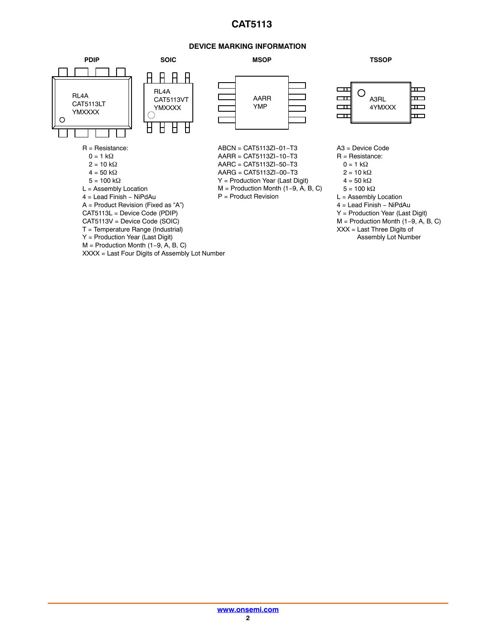#### **DEVICE MARKING INFORMATION**

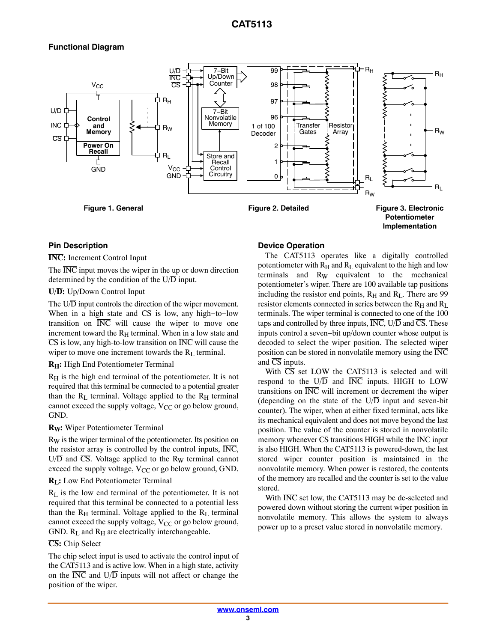## **Functional Diagram**



#### **Pin Description**

**INC:** Increment Control Input

The  $\overline{\text{INC}}$  input moves the wiper in the up or down direction determined by the condition of the  $U/\overline{D}$  input.

#### **U/D:** Up/Down Control Input

The  $U/\overline{D}$  input controls the direction of the wiper movement. When in a high state and  $\overline{CS}$  is low, any high-to-low transition on  $\overline{INC}$  will cause the wiper to move one increment toward the  $R_H$  terminal. When in a low state and  $\overline{CS}$  is low, any high-to-low transition on  $\overline{INC}$  will cause the wiper to move one increment towards the  $R_L$  terminal.

#### **RH:** High End Potentiometer Terminal

RH is the high end terminal of the potentiometer. It is not required that this terminal be connected to a potential greater than the  $R_L$  terminal. Voltage applied to the  $R_H$  terminal cannot exceed the supply voltage,  $V_{CC}$  or go below ground, GND.

#### **RW:** Wiper Potentiometer Terminal

R<sub>W</sub> is the wiper terminal of the potentiometer. Its position on the resistor array is controlled by the control inputs,  $\overline{\text{INC}}$ ,  $U/\overline{D}$  and  $\overline{CS}$ . Voltage applied to the R<sub>W</sub> terminal cannot exceed the supply voltage,  $V_{CC}$  or go below ground, GND.

#### **R<sub>L</sub>:** Low End Potentiometer Terminal

 $R<sub>L</sub>$  is the low end terminal of the potentiometer. It is not required that this terminal be connected to a potential less than the  $R_H$  terminal. Voltage applied to the  $R_L$  terminal cannot exceed the supply voltage,  $V_{CC}$  or go below ground, GND.  $R_L$  and  $R_H$  are electrically interchangeable.

#### **CS:** Chip Select

The chip select input is used to activate the control input of the CAT5113 and is active low. When in a high state, activity on the  $\overline{\text{INC}}$  and  $\overline{\text{U/D}}$  inputs will not affect or change the position of the wiper.

#### **Device Operation**

The CAT5113 operates like a digitally controlled potentiometer with  $R_H$  and  $R_L$  equivalent to the high and low terminals and  $R_W$  equivalent to the mechanical potentiometer's wiper. There are 100 available tap positions including the resistor end points,  $R_H$  and  $R_L$ . There are 99 resistor elements connected in series between the  $R_H$  and  $R_L$ terminals. The wiper terminal is connected to one of the 100 taps and controlled by three inputs,  $\overline{\text{INC}}$ ,  $\overline{\text{U}}$  and  $\overline{\text{CS}}$ . These inputs control a seven−bit up/down counter whose output is decoded to select the wiper position. The selected wiper position can be stored in nonvolatile memory using the  $\overline{\text{INC}}$ and  $\overline{\text{CS}}$  inputs.

With  $\overline{CS}$  set LOW the CAT5113 is selected and will respond to the  $U/\overline{D}$  and  $\overline{INC}$  inputs. HIGH to LOW transitions on  $\overline{\text{INC}}$  will increment or decrement the wiper (depending on the state of the  $U/\overline{D}$  input and seven-bit counter). The wiper, when at either fixed terminal, acts like its mechanical equivalent and does not move beyond the last position. The value of the counter is stored in nonvolatile memory whenever  $\overline{\text{CS}}$  transitions HIGH while the  $\overline{\text{INC}}$  input is also HIGH. When the CAT5113 is powered-down, the last stored wiper counter position is maintained in the nonvolatile memory. When power is restored, the contents of the memory are recalled and the counter is set to the value stored.

With INC set low, the CAT5113 may be de-selected and powered down without storing the current wiper position in nonvolatile memory. This allows the system to always power up to a preset value stored in nonvolatile memory.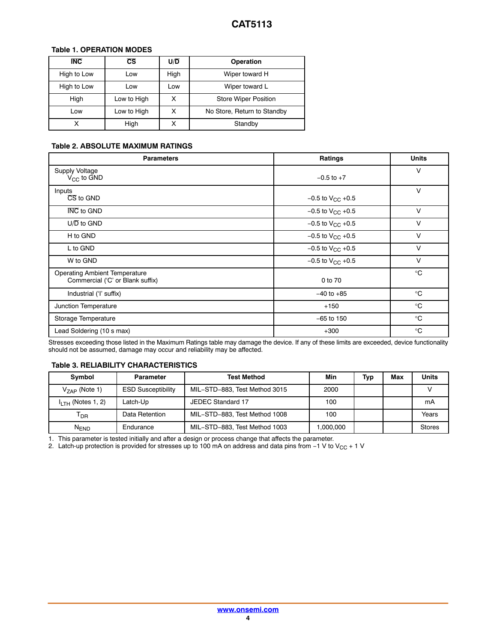#### **Table 1. OPERATION MODES**

| <b>INC</b>  | cs          | $U/\overline{D}$ | Operation                   |
|-------------|-------------|------------------|-----------------------------|
| High to Low | Low         | High             | Wiper toward H              |
| High to Low | Low         | Low              | Wiper toward L              |
| High        | Low to High |                  | <b>Store Wiper Position</b> |
| Low         | Low to High | x                | No Store, Return to Standby |
| х           | High        | х                | Standby                     |

#### **Table 2. ABSOLUTE MAXIMUM RATINGS**

| <b>Parameters</b>                                                        | <b>Ratings</b>          | <b>Units</b> |
|--------------------------------------------------------------------------|-------------------------|--------------|
| Supply Voltage<br>$V_{CC}$ to $GND$                                      | $-0.5$ to $+7$          | v            |
| Inputs<br>CS to GND                                                      | $-0.5$ to $V_{CC}$ +0.5 | $\vee$       |
| <b>INC</b> to GND                                                        | $-0.5$ to $V_{CC}$ +0.5 | $\vee$       |
| $U/\overline{D}$ to GND                                                  | $-0.5$ to $V_{CC}$ +0.5 | $\vee$       |
| H to GND                                                                 | $-0.5$ to $V_{CC}$ +0.5 | $\vee$       |
| L to GND                                                                 | $-0.5$ to $V_{CC}$ +0.5 | $\vee$       |
| W to GND                                                                 | $-0.5$ to $V_{CC}$ +0.5 | v            |
| <b>Operating Ambient Temperature</b><br>Commercial ('C' or Blank suffix) | 0 to 70                 | $^{\circ}$ C |
| Industrial ('I' suffix)                                                  | $-40$ to $+85$          | $^{\circ}C$  |
| Junction Temperature                                                     | $+150$                  | $^{\circ}$ C |
| Storage Temperature                                                      | $-65$ to 150            | $^{\circ}$ C |
| Lead Soldering (10 s max)                                                | $+300$                  | $^{\circ}$ C |

Stresses exceeding those listed in the Maximum Ratings table may damage the device. If any of these limits are exceeded, device functionality should not be assumed, damage may occur and reliability may be affected.

#### **Table 3. RELIABILITY CHARACTERISTICS**

| Symbol                       | <b>Parameter</b>          | <b>Test Method</b>            | Min      | Typ | Max | <b>Units</b>  |
|------------------------------|---------------------------|-------------------------------|----------|-----|-----|---------------|
| $V_{7AP}$ (Note 1)           | <b>ESD Susceptibility</b> | MIL-STD-883, Test Method 3015 | 2000     |     |     |               |
| $IITH$ (Notes 1, 2)          | Latch-Up                  | JEDEC Standard 17             | 100      |     |     | mA            |
| $\mathsf{T}_{\mathsf{DR}}$   | Data Retention            | MIL-STD-883, Test Method 1008 | 100      |     |     | Years         |
| ${\mathsf N}_{\mathsf{END}}$ | Endurance                 | MIL-STD-883, Test Method 1003 | .000.000 |     |     | <b>Stores</b> |

1. This parameter is tested initially and after a design or process change that affects the parameter.

2. Latch-up protection is provided for stresses up to 100 mA on address and data pins from −1 V to V $_{\rm CC}$  + 1 V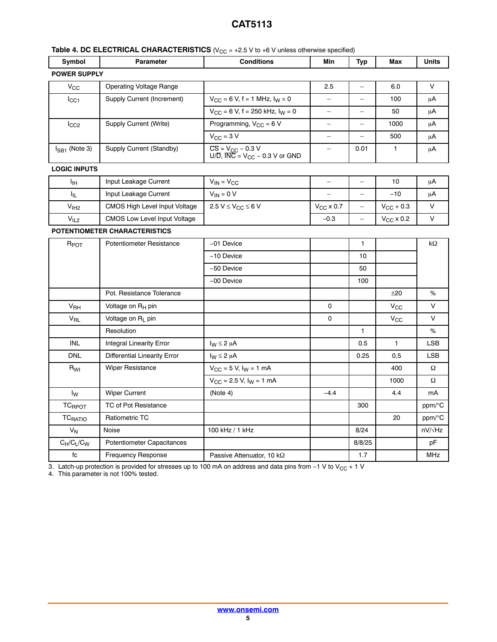## **Table 4. DC ELECTRICAL CHARACTERISTICS** (V<sub>CC</sub> = +2.5 V to +6 V unless otherwise specified)

| Symbol                    | <b>Parameter</b>                    | <b>Conditions</b>                                                                                 | Min                | <b>Typ</b>               | Max                   | Units          |  |
|---------------------------|-------------------------------------|---------------------------------------------------------------------------------------------------|--------------------|--------------------------|-----------------------|----------------|--|
|                           | <b>POWER SUPPLY</b>                 |                                                                                                   |                    |                          |                       |                |  |
| $V_{CC}$                  | <b>Operating Voltage Range</b>      |                                                                                                   | 2.5                |                          | 6.0                   | V              |  |
| I <sub>CC1</sub>          | Supply Current (Increment)          | $V_{CC}$ = 6 V, f = 1 MHz, $I_W$ = 0                                                              | $\equiv$           | $\overline{\phantom{0}}$ | 100                   | μA             |  |
|                           |                                     | $V_{CC}$ = 6 V, f = 250 kHz, $I_W$ = 0                                                            | $\qquad \qquad -$  | $\overline{\phantom{0}}$ | 50                    | μA             |  |
| $I_{CC2}$                 | Supply Current (Write)              | Programming, $V_{CC} = 6 V$                                                                       | $\equiv$           | $\equiv$                 | 1000                  | μA             |  |
|                           |                                     | $V_{CC}$ = 3 V                                                                                    | $\equiv$           | $\overline{\phantom{0}}$ | 500                   | μA             |  |
| $I_{SB1}$ (Note 3)        | Supply Current (Standby)            | $\overline{CS} = V_{CC} - 0.3 \text{ V}$<br>U/D, $\overline{INC} = V_{CC} - 0.3 \text{ V}$ or GND | $\qquad \qquad -$  | 0.01                     | $\mathbf{1}$          | μA             |  |
| <b>LOGIC INPUTS</b>       |                                     |                                                                                                   |                    |                          |                       |                |  |
| Iн                        | Input Leakage Current               | $V_{IN} = V_{CC}$                                                                                 | $\qquad \qquad -$  | $\equiv$                 | 10                    | μA             |  |
| Ι <sub>ΙL</sub>           | Input Leakage Current               | $V_{IN} = 0 V$                                                                                    |                    | $\equiv$                 | $-10$                 | μA             |  |
| $\rm V_{IH2}$             | CMOS High Level Input Voltage       | $2.5 V \leq V_{CC} \leq 6 V$                                                                      | $V_{\rm CC}$ x 0.7 | $\equiv$                 | $V_{\text{CC}} + 0.3$ | V              |  |
| V <sub>IL2</sub>          | <b>CMOS Low Level Input Voltage</b> |                                                                                                   | $-0.3$             | $\equiv$                 | $V_{\rm CC}$ x 0.2    | V              |  |
|                           | POTENTIOMETER CHARACTERISTICS       |                                                                                                   |                    |                          |                       |                |  |
| $R_{\text{POT}}$          | Potentiometer Resistance            | -01 Device                                                                                        |                    | $\mathbf{1}$             |                       | kΩ             |  |
|                           |                                     | -10 Device                                                                                        |                    | 10                       |                       |                |  |
|                           |                                     | -50 Device                                                                                        |                    | 50                       |                       |                |  |
|                           |                                     | -00 Device                                                                                        |                    | 100                      |                       |                |  |
|                           | Pot. Resistance Tolerance           |                                                                                                   |                    |                          | ±20                   | %              |  |
| V <sub>RH</sub>           | Voltage on R <sub>H</sub> pin       |                                                                                                   | $\mathbf 0$        |                          | $V_{\rm CC}$          | V              |  |
| V <sub>RL</sub>           | Voltage on R <sub>1</sub> pin       |                                                                                                   | 0                  |                          | $V_{\rm GC}$          | V              |  |
|                           | Resolution                          |                                                                                                   |                    | $\mathbf{1}$             |                       | %              |  |
| <b>INL</b>                | <b>Integral Linearity Error</b>     | $I_W \leq 2 \mu A$                                                                                |                    | 0.5                      | $\mathbf{1}$          | <b>LSB</b>     |  |
| <b>DNL</b>                | <b>Differential Linearity Error</b> | $I_W \leq 2 \mu A$                                                                                |                    | 0.25                     | 0.5                   | <b>LSB</b>     |  |
| R <sub>WI</sub>           | <b>Wiper Resistance</b>             | $V_{CC}$ = 5 V, $I_W$ = 1 mA                                                                      |                    |                          | 400                   | Ω              |  |
|                           |                                     | $V_{CC}$ = 2.5 V, $I_W$ = 1 mA                                                                    |                    |                          | 1000                  | Ω              |  |
| $I_{\mathsf{W}}$          | <b>Wiper Current</b>                | (Note 4)                                                                                          | $-4.4$             |                          | 4.4                   | mA             |  |
| <b>TC<sub>RPOT</sub></b>  | TC of Pot Resistance                |                                                                                                   |                    | 300                      |                       | ppm/°C         |  |
| <b>TC<sub>RATIO</sub></b> | <b>Ratiometric TC</b>               |                                                                                                   |                    |                          | 20                    | ppm/°C         |  |
| $V_N$                     | Noise                               | 100 kHz / 1 kHz                                                                                   |                    | 8/24                     |                       | $nV/\sqrt{Hz}$ |  |
| $C_H/C_L/C_W$             | Potentiometer Capacitances          |                                                                                                   |                    | 8/8/25                   |                       | pF             |  |
| fc                        | <b>Frequency Response</b>           | Passive Attenuator, 10 kΩ                                                                         |                    | 1.7                      |                       | <b>MHz</b>     |  |

3. Latch-up protection is provided for stresses up to 100 mA on address and data pins from –1 V to V<sub>CC</sub> + 1 V<br>4. This parameter is not 100% tested.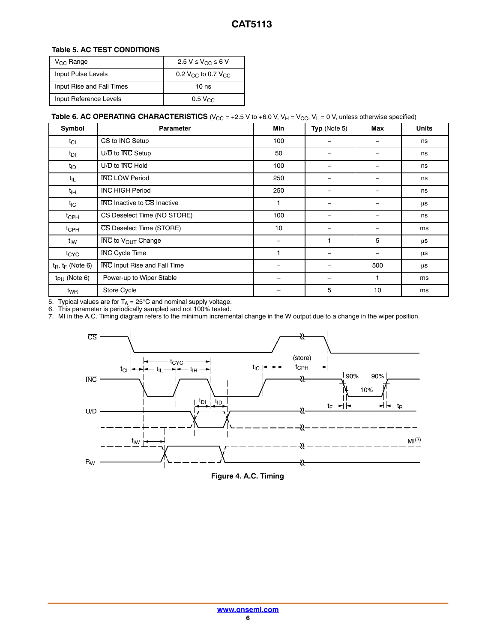#### **Table 5. AC TEST CONDITIONS**

| $V_{\text{CC}}$ Range     | 2.5 V $\leq$ V <sub>CC</sub> $\leq$ 6 V    |
|---------------------------|--------------------------------------------|
| Input Pulse Levels        | 0.2 V <sub>CC</sub> to 0.7 V <sub>CC</sub> |
| Input Rise and Fall Times | 10 ns                                      |
| Input Reference Levels    | $0.5 V_{CC}$                               |

#### **Table 6. AC OPERATING CHARACTERISTICS** ( $V_{CC} = +2.5$  V to  $+6.0$  V,  $V_H = V_{CC}$ ,  $V_L = 0$  V, unless otherwise specified)

| Symbol                 | <b>Parameter</b>                          | <b>Min</b>               | Typ (Note 5)                 | Max               | <b>Units</b> |
|------------------------|-------------------------------------------|--------------------------|------------------------------|-------------------|--------------|
| $t_{Cl}$               | CS to INC Setup                           | 100                      | $\qquad \qquad \blacksquare$ | -                 | ns           |
| $t_{DI}$               | U/D to INC Setup                          | 50                       | -                            |                   | ns           |
| $t_{ID}$               | $U/\overline{D}$ to $\overline{INC}$ Hold | 100                      | -                            |                   | ns           |
| $t_{\rm IL}$           | <b>INC LOW Period</b>                     | 250                      | $\overline{\phantom{0}}$     |                   | ns           |
| t <sub>IН</sub>        | <b>INC HIGH Period</b>                    | 250                      | -                            |                   | ns           |
| t <sub>IC</sub>        | <b>INC</b> Inactive to CS Inactive        |                          | -                            |                   | μs           |
| t <sub>CPH</sub>       | CS Deselect Time (NO STORE)               | 100                      | -                            |                   | ns           |
| t <sub>CPH</sub>       | CS Deselect Time (STORE)                  | 10                       | $\qquad \qquad \blacksquare$ | -                 | ms           |
| t <sub>IW</sub>        | <b>INC</b> to V <sub>OUT</sub> Change     | $\overline{\phantom{0}}$ |                              | 5                 | μs           |
| $t_{\text{CYC}}$       | <b>INC</b> Cycle Time                     |                          | $\overline{\phantom{0}}$     | $\qquad \qquad -$ | μs           |
| $t_R$ , $t_F$ (Note 6) | <b>INC Input Rise and Fall Time</b>       |                          |                              | 500               | μs           |
| $t_{PU}$ (Note 6)      | Power-up to Wiper Stable                  |                          | $\equiv$                     |                   | ms           |
| $t_{WR}$               | Store Cycle                               |                          | 5                            | 10                | ms           |

5. Typical values are for T<sub>A</sub> = 25°C and nominal supply voltage.<br>6. This parameter is periodically sampled and not 100% tested.

7. MI in the A.C. Timing diagram refers to the minimum incremental change in the W output due to a change in the wiper position.



**Figure 4. A.C. Timing**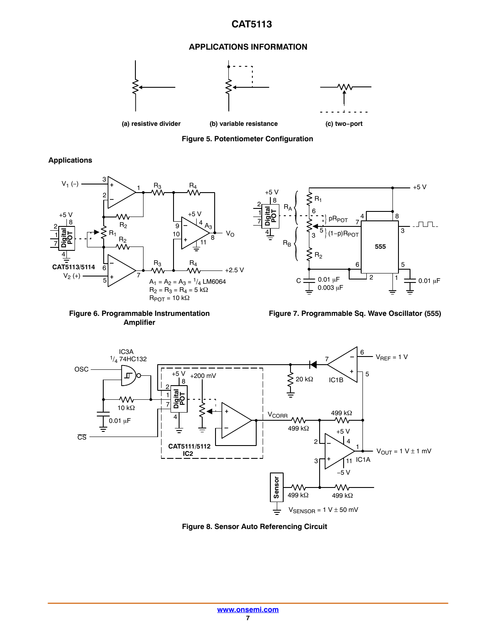#### **APPLICATIONS INFORMATION**



**Figure 5. Potentiometer Configuration**

**Digital POT**

+5 V

**Applications**





7

 $0.003 \mu F$ 

5 3

pR<sub>POT</sub>  $(1-p)R<sub>POT</sub>$ 

 $R<sub>2</sub>$ 

6

 $R_1$ 

C

 $\mathsf{R}_{\mathsf{B}}$ 

 $_{\mathsf{R}_{\mathsf{A}}}$ 

 $0.01 \mu F$  4  $^2$  1  $\frac{1}{2}$  0.01  $\mu$ F

2 1 6 | 5

4 8

**555**

 $\overline{3}$ 

+5 V

 $\Box$ 





**Figure 8. Sensor Auto Referencing Circuit**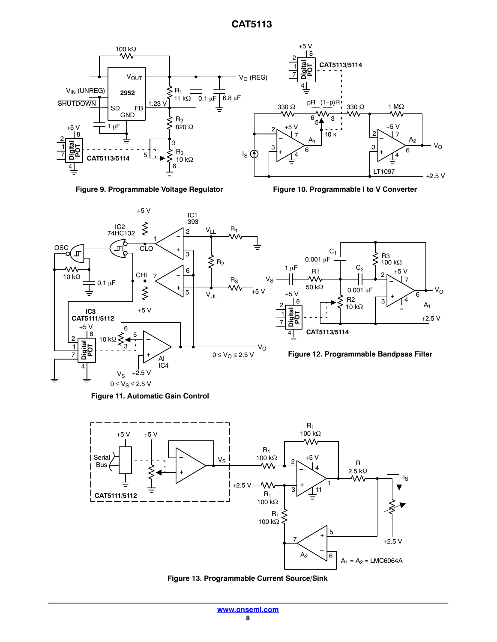





**Figure 10. Programmable I to V Converter**











**Figure 13. Programmable Current Source/Sink**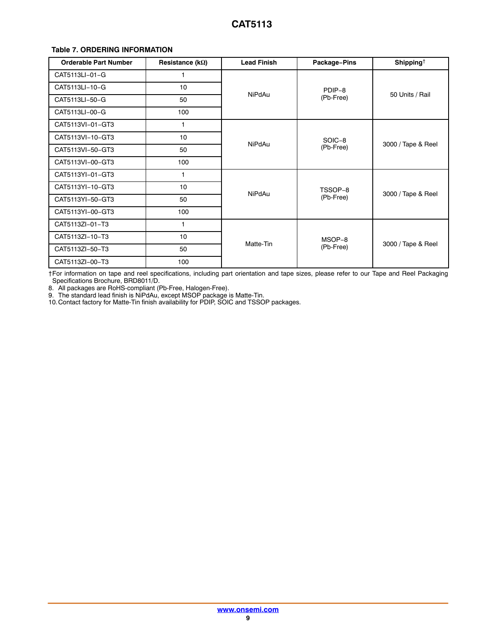#### <span id="page-8-0"></span>**Table 7. ORDERING INFORMATION**

| <b>Orderable Part Number</b> | Resistance ( $k\Omega$ ) | <b>Lead Finish</b> | Package-Pins        | Shipping <sup><math>\dagger</math></sup> |  |
|------------------------------|--------------------------|--------------------|---------------------|------------------------------------------|--|
| CAT5113LI-01-G               | 1                        |                    |                     |                                          |  |
| CAT5113LI-10-G               | 10                       |                    | PDIP-8              |                                          |  |
| CAT5113LI-50-G               | 50                       | <b>NiPdAu</b>      | (Pb-Free)           | 50 Units / Rail                          |  |
| CAT5113LI-00-G               | 100                      |                    |                     |                                          |  |
| CAT5113VI-01-GT3             | 1                        |                    |                     |                                          |  |
| CAT5113VI-10-GT3             | 10                       |                    | SOIC-8<br>(Pb-Free) | 3000 / Tape & Reel                       |  |
| CAT5113VI-50-GT3             | 50                       | <b>NiPdAu</b>      |                     |                                          |  |
| CAT5113VI-00-GT3             | 100                      |                    |                     |                                          |  |
| CAT5113YI-01-GT3             | 1                        |                    | TSSOP-8             |                                          |  |
| CAT5113YI-10-GT3             | 10                       |                    |                     |                                          |  |
| CAT5113YI-50-GT3             | 50                       | <b>NiPdAu</b>      | (Pb-Free)           | 3000 / Tape & Reel                       |  |
| CAT5113YI-00-GT3             | 100                      |                    |                     |                                          |  |
| CAT5113ZI-01-T3              |                          |                    |                     |                                          |  |
| CAT5113ZI-10-T3              | 10                       |                    | MSOP-8              |                                          |  |
| CAT5113ZI-50-T3              | 50                       | Matte-Tin          | (Pb-Free)           | 3000 / Tape & Reel                       |  |
| CAT5113ZI-00-T3              | 100                      |                    |                     |                                          |  |

†For information on tape and reel specifications, including part orientation and tape sizes, please refer to our Tape and Reel Packaging Specifications Brochure, BRD8011/D.

8. All packages are RoHS-compliant (Pb-Free, Halogen-Free).

9. The standard lead finish is NiPdAu, except MSOP package is Matte-Tin.

10.Contact factory for Matte-Tin finish availability for PDIP, SOIC and TSSOP packages.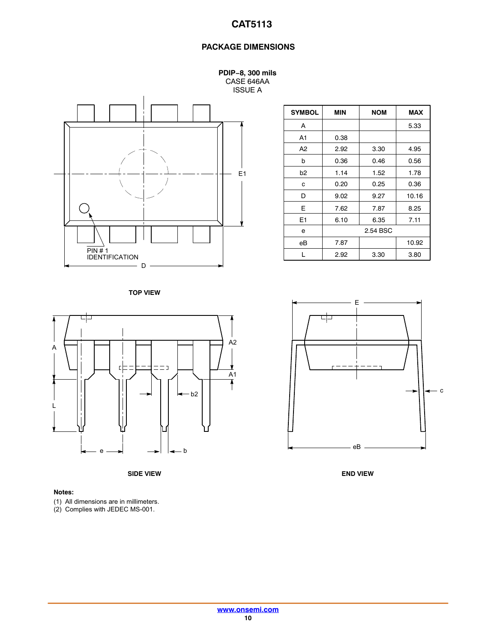## **PACKAGE DIMENSIONS**

**PDIP−8, 300 mils** CASE 646AA ISSUE A



| <b>SYMBOL</b>  | MIN      | <b>NOM</b> | <b>MAX</b> |  |
|----------------|----------|------------|------------|--|
| A              |          |            | 5.33       |  |
| A <sub>1</sub> | 0.38     |            |            |  |
| A <sub>2</sub> | 2.92     | 3.30       | 4.95       |  |
| b              | 0.36     | 0.46       | 0.56       |  |
| b2             | 1.14     | 1.52       | 1.78       |  |
| c              | 0.20     | 0.25       | 0.36       |  |
| D              | 9.02     | 9.27       | 10.16      |  |
| E              | 7.62     | 7.87       | 8.25       |  |
| E <sub>1</sub> | 6.10     | 6.35       | 7.11       |  |
| е              | 2.54 BSC |            |            |  |
| eB             | 7.87     |            | 10.92      |  |
|                | 2.92     | 3.30       | 3.80       |  |

**TOP VIEW**



**SIDE VIEW END VIEW**

#### **Notes:**

(1) All dimensions are in millimeters.

(2) Complies with JEDEC MS-001.

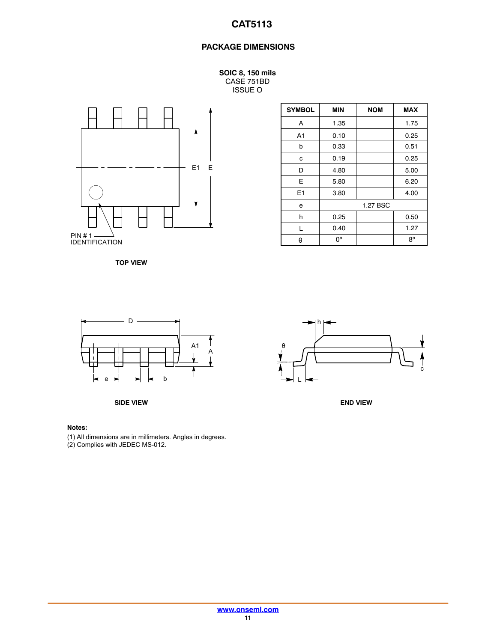## **PACKAGE DIMENSIONS**

**SOIC 8, 150 mils** CASE 751BD ISSUE O



**TOP VIEW**

| <b>SYMBOL</b>  | MIN  | <b>NOM</b> | <b>MAX</b> |
|----------------|------|------------|------------|
| A              | 1.35 |            | 1.75       |
| A <sub>1</sub> | 0.10 |            | 0.25       |
| b              | 0.33 |            | 0.51       |
| с              | 0.19 |            | 0.25       |
| D              | 4.80 |            | 5.00       |
| E              | 5.80 |            | 6.20       |
| E1             | 3.80 |            | 4.00       |
| e              |      | 1.27 BSC   |            |
| h              | 0.25 |            | 0.50       |
| L              | 0.40 |            | 1.27       |
| θ              | 0°   |            | 8°         |



**SIDE VIEW END VIEW**

#### **Notes:**

(1) All dimensions are in millimeters. Angles in degrees.

(2) Complies with JEDEC MS-012.

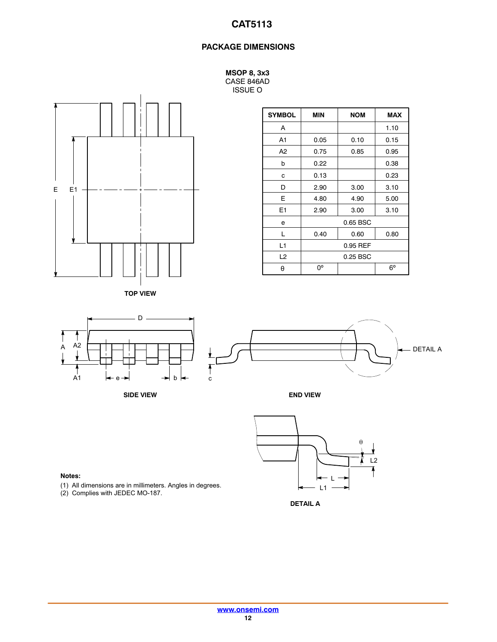### **PACKAGE DIMENSIONS**

**MSOP 8, 3x3** CASE 846AD ISSUE O



**TOP VIEW**

| <b>SYMBOL</b>  | MIN      | <b>NOM</b> | <b>MAX</b>  |  |
|----------------|----------|------------|-------------|--|
| A              |          |            | 1.10        |  |
| A1             | 0.05     | 0.10       | 0.15        |  |
| A <sub>2</sub> | 0.75     | 0.85       | 0.95        |  |
| b              | 0.22     |            | 0.38        |  |
| c              | 0.13     |            | 0.23        |  |
| D              | 2.90     | 3.00       | 3.10        |  |
| F              | 4.80     | 4.90       | 5.00        |  |
| E1             | 2.90     | 3.00       | 3.10        |  |
| e              |          | 0.65 BSC   |             |  |
| L              | 0.40     | 0.60       | 0.80        |  |
| L1             | 0.95 REF |            |             |  |
| L <sub>2</sub> | 0.25 BSC |            |             |  |
| θ              | O٥       |            | $6^{\circ}$ |  |







**DETAIL A**

#### **Notes:**

- (1) All dimensions are in millimeters. Angles in degrees.
- (2) Complies with JEDEC MO-187.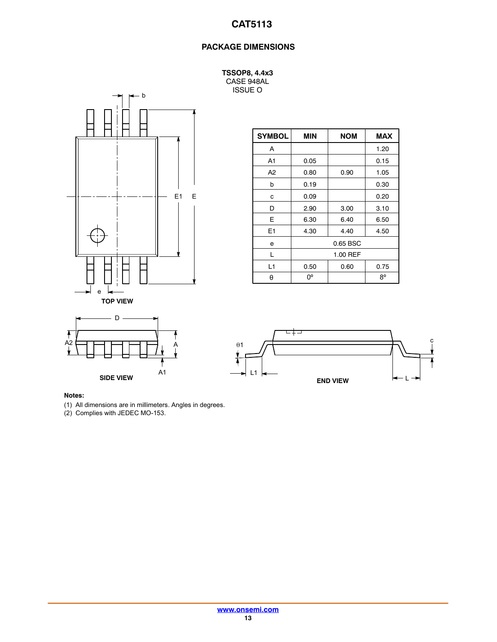## **PACKAGE DIMENSIONS**

**TSSOP8, 4.4x3** CASE 948AL ISSUE O



| <b>SYMBOL</b>  | <b>MIN</b> | <b>NOM</b> | <b>MAX</b> |  |
|----------------|------------|------------|------------|--|
| A              |            |            | 1.20       |  |
| A1             | 0.05       |            | 0.15       |  |
| A <sub>2</sub> | 0.80       | 0.90       | 1.05       |  |
| b              | 0.19       |            | 0.30       |  |
| с              | 0.09       |            | 0.20       |  |
| D              | 2.90       | 3.00       | 3.10       |  |
| E              | 6.30       | 6.40       | 6.50       |  |
| E1             | 4.30       | 4.40       | 4.50       |  |
| е              | 0.65 BSC   |            |            |  |
| L              | 1.00 REF   |            |            |  |
| L1             | 0.50       | 0.60       | 0.75       |  |
| θ              | 0°         |            | 8°         |  |





#### **Notes:**

(1) All dimensions are in millimeters. Angles in degrees.

(2) Complies with JEDEC MO-153.